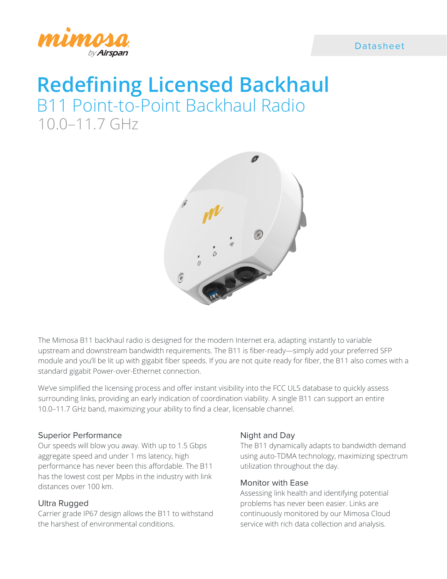



# **Redefining Licensed Backhaul** B11 Point-to-Point Backhaul Radio 10.0–11.7 GHz



The Mimosa B11 backhaul radio is designed for the modern Internet era, adapting instantly to variable upstream and downstream bandwidth requirements. The B11 is fiber-ready—simply add your preferred SFP module and you'll be lit up with gigabit fiber speeds. If you are not quite ready for fiber, the B11 also comes with a standard gigabit Power-over-Ethernet connection.

We've simplified the licensing process and offer instant visibility into the FCC ULS database to quickly assess surrounding links, providing an early indication of coordination viability. A single B11 can support an entire 10.0–11.7 GHz band, maximizing your ability to find a clear, licensable channel.

# Superior Performance

Our speeds will blow you away. With up to 1.5 Gbps aggregate speed and under 1 ms latency, high performance has never been this affordable. The B11 has the lowest cost per Mpbs in the industry with link distances over 100 km.

# Ultra Rugged

Carrier grade IP67 design allows the B11 to withstand the harshest of environmental conditions.

# Night and Day

The B11 dynamically adapts to bandwidth demand using auto-TDMA technology, maximizing spectrum utilization throughout the day.

# Monitor with Ease

Assessing link health and identifying potential problems has never been easier. Links are continuously monitored by our Mimosa Cloud service with rich data collection and analysis.